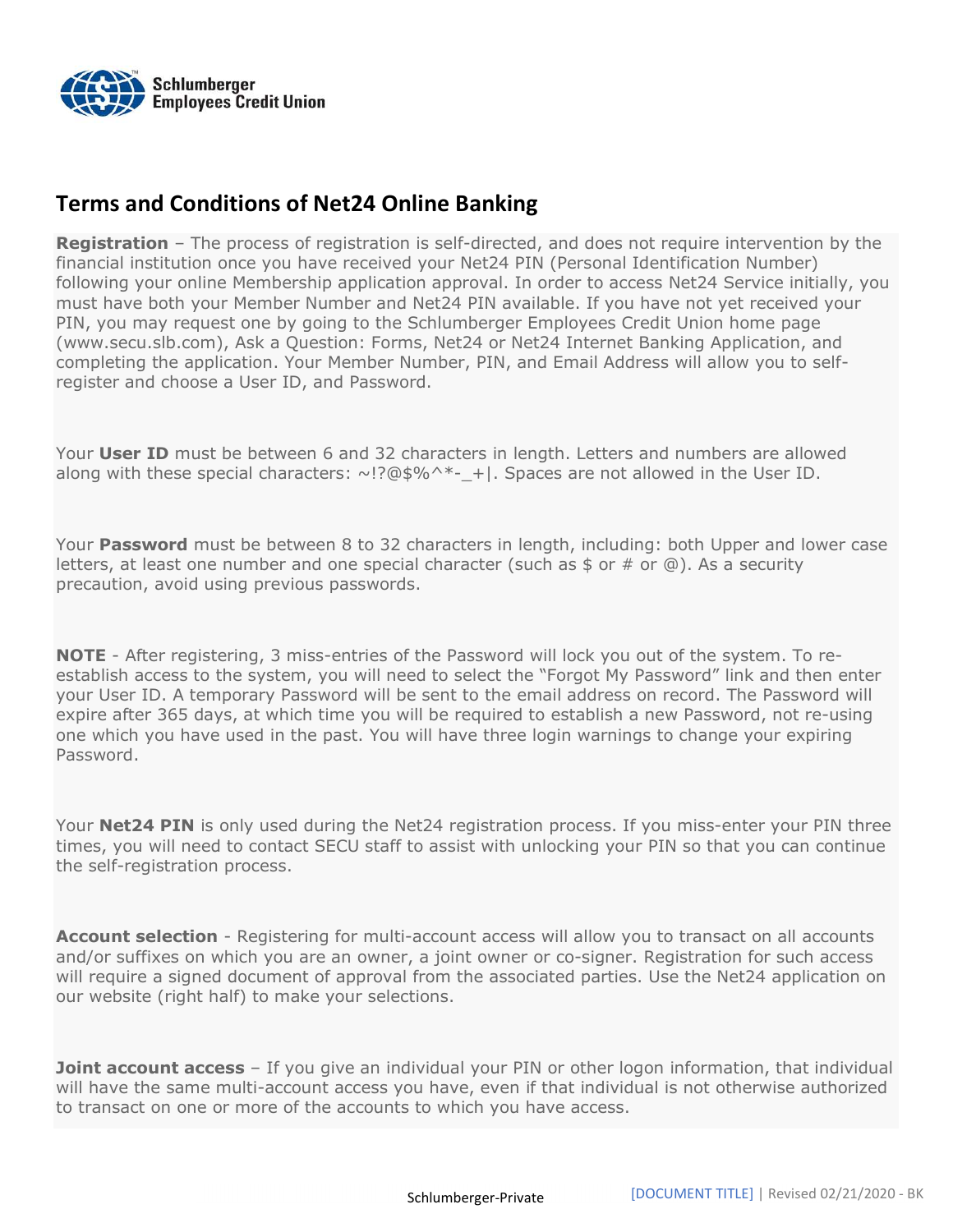

## Terms and Conditions of Net24 Online Banking

**Registration** – The process of registration is self-directed, and does not require intervention by the financial institution once you have received your Net24 PIN (Personal Identification Number) following your online Membership application approval. In order to access Net24 Service initially, you must have both your Member Number and Net24 PIN available. If you have not yet received your PIN, you may request one by going to the Schlumberger Employees Credit Union home page (www.secu.slb.com), Ask a Question: Forms, Net24 or Net24 Internet Banking Application, and completing the application. Your Member Number, PIN, and Email Address will allow you to selfregister and choose a User ID, and Password.

Your User ID must be between 6 and 32 characters in length. Letters and numbers are allowed along with these special characters:  $\sim$ !?@\$%^\*- +|. Spaces are not allowed in the User ID.

Your **Password** must be between 8 to 32 characters in length, including: both Upper and lower case letters, at least one number and one special character (such as  $\frac{1}{2}$  or  $\frac{1}{2}$ ). As a security precaution, avoid using previous passwords.

**NOTE** - After registering, 3 miss-entries of the Password will lock you out of the system. To reestablish access to the system, you will need to select the "Forgot My Password" link and then enter your User ID. A temporary Password will be sent to the email address on record. The Password will expire after 365 days, at which time you will be required to establish a new Password, not re-using one which you have used in the past. You will have three login warnings to change your expiring Password.

Your Net24 PIN is only used during the Net24 registration process. If you miss-enter your PIN three times, you will need to contact SECU staff to assist with unlocking your PIN so that you can continue the self-registration process.

**Account selection** - Registering for multi-account access will allow you to transact on all accounts and/or suffixes on which you are an owner, a joint owner or co-signer. Registration for such access will require a signed document of approval from the associated parties. Use the Net24 application on our website (right half) to make your selections.

**Joint account access** – If you give an individual your PIN or other logon information, that individual will have the same multi-account access you have, even if that individual is not otherwise authorized to transact on one or more of the accounts to which you have access.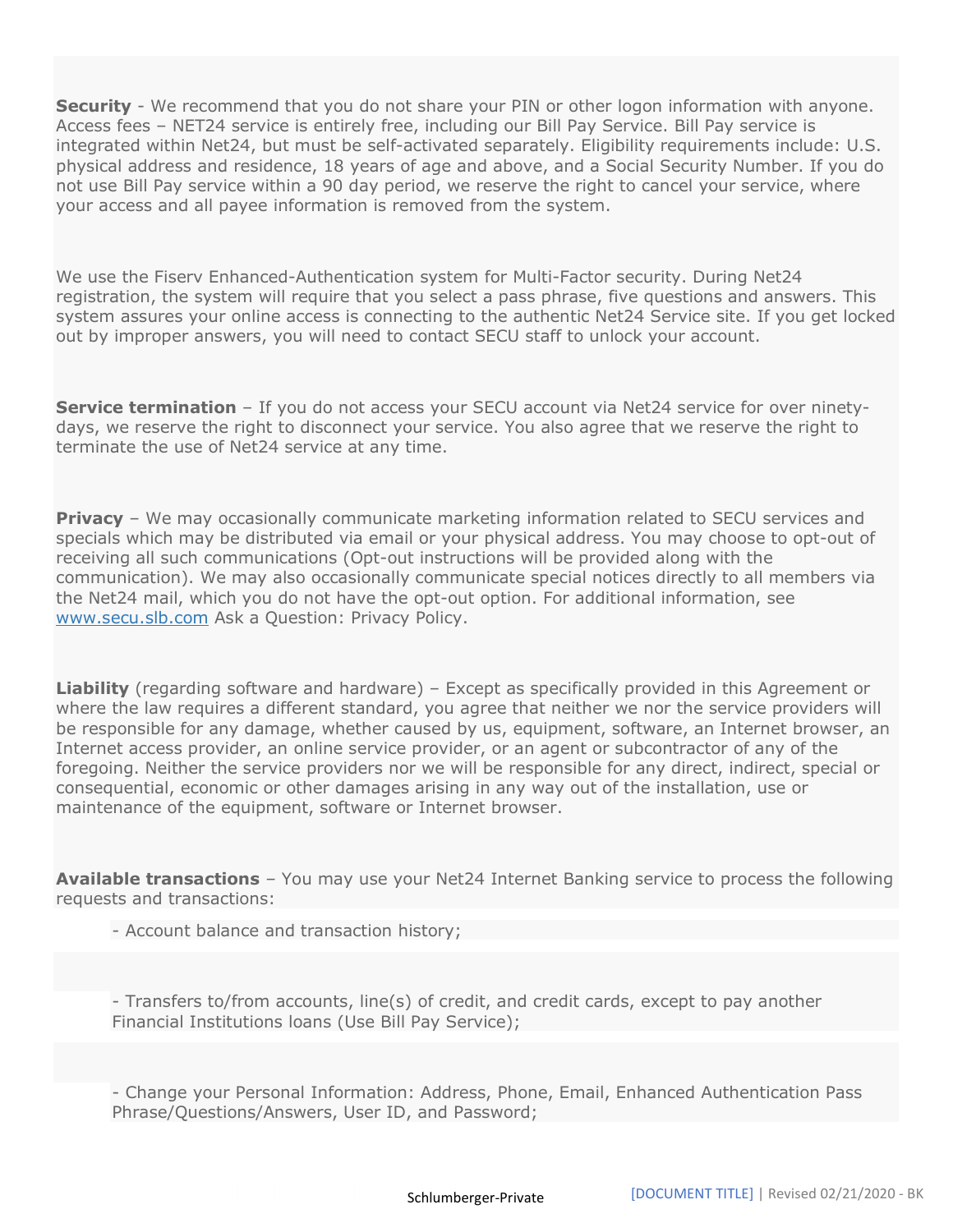**Security** - We recommend that you do not share your PIN or other logon information with anyone. Access fees – NET24 service is entirely free, including our Bill Pay Service. Bill Pay service is integrated within Net24, but must be self-activated separately. Eligibility requirements include: U.S. physical address and residence, 18 years of age and above, and a Social Security Number. If you do not use Bill Pay service within a 90 day period, we reserve the right to cancel your service, where your access and all payee information is removed from the system.

We use the Fiserv Enhanced-Authentication system for Multi-Factor security. During Net24 registration, the system will require that you select a pass phrase, five questions and answers. This system assures your online access is connecting to the authentic Net24 Service site. If you get locked out by improper answers, you will need to contact SECU staff to unlock your account.

**Service termination** – If you do not access your SECU account via Net24 service for over ninetydays, we reserve the right to disconnect your service. You also agree that we reserve the right to terminate the use of Net24 service at any time.

**Privacy** – We may occasionally communicate marketing information related to SECU services and specials which may be distributed via email or your physical address. You may choose to opt-out of receiving all such communications (Opt-out instructions will be provided along with the communication). We may also occasionally communicate special notices directly to all members via the Net24 mail, which you do not have the opt-out option. For additional information, see www.secu.slb.com Ask a Question: Privacy Policy.

Liability (regarding software and hardware) - Except as specifically provided in this Agreement or where the law requires a different standard, you agree that neither we nor the service providers will be responsible for any damage, whether caused by us, equipment, software, an Internet browser, an Internet access provider, an online service provider, or an agent or subcontractor of any of the foregoing. Neither the service providers nor we will be responsible for any direct, indirect, special or consequential, economic or other damages arising in any way out of the installation, use or maintenance of the equipment, software or Internet browser.

**Available transactions** - You may use your Net24 Internet Banking service to process the following requests and transactions:

- Account balance and transaction history;

- Transfers to/from accounts, line(s) of credit, and credit cards, except to pay another Financial Institutions loans (Use Bill Pay Service);

- Change your Personal Information: Address, Phone, Email, Enhanced Authentication Pass Phrase/Questions/Answers, User ID, and Password;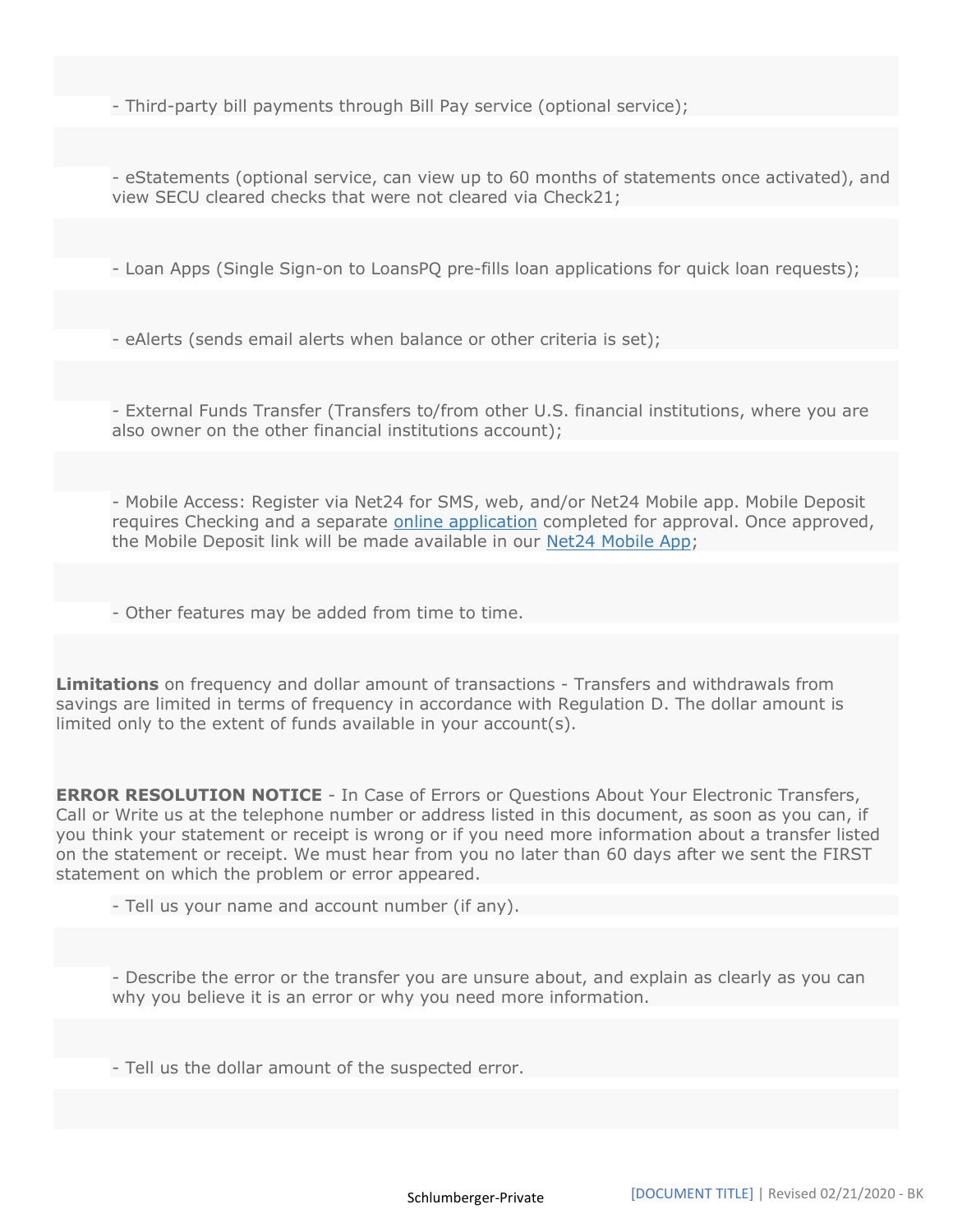- Third-party bill payments through Bill Pay service (optional service);

- eStatements (optional service, can view up to 60 months of statements once activated), and view SECU cleared checks that were not cleared via Check21;

- Loan Apps (Single Sign-on to LoansPQ pre-fills loan applications for quick loan requests);

- eAlerts (sends email alerts when balance or other criteria is set);

- External Funds Transfer (Transfers to/from other U.S. financial institutions, where you are also owner on the other financial institutions account);

- Mobile Access: Register via Net24 for SMS, web, and/or Net24 Mobile app. Mobile Deposit requires Checking and a separate online application completed for approval. Once approved, the Mobile Deposit link will be made available in our Net24 Mobile App;

- Other features may be added from time to time.

Limitations on frequency and dollar amount of transactions - Transfers and withdrawals from savings are limited in terms of frequency in accordance with Regulation D. The dollar amount is limited only to the extent of funds available in your account(s).

**ERROR RESOLUTION NOTICE** - In Case of Errors or Questions About Your Electronic Transfers, Call or Write us at the telephone number or address listed in this document, as soon as you can, if you think your statement or receipt is wrong or if you need more information about a transfer listed on the statement or receipt. We must hear from you no later than 60 days after we sent the FIRST statement on which the problem or error appeared.

- Tell us your name and account number (if any).

- Describe the error or the transfer you are unsure about, and explain as clearly as you can why you believe it is an error or why you need more information.

- Tell us the dollar amount of the suspected error.